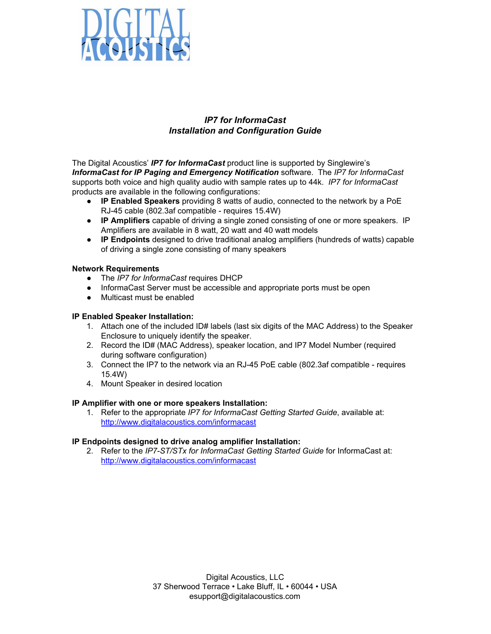

## *IP7 for InformaCast Installation and Configuration Guide*

The Digital Acoustics' *IP7 for InformaCast* product line is supported by Singlewire's *InformaCast for IP Paging and Emergency Notification* software. The *IP7 for InformaCast* supports both voice and high quality audio with sample rates up to 44k. *IP7 for InformaCast* products are available in the following configurations:

- **IP Enabled Speakers** providing 8 watts of audio, connected to the network by a PoE RJ-45 cable (802.3af compatible - requires 15.4W)
- **IP Amplifiers** capable of driving a single zoned consisting of one or more speakers. IP Amplifiers are available in 8 watt, 20 watt and 40 watt models
- **IP Endpoints** designed to drive traditional analog amplifiers (hundreds of watts) capable of driving a single zone consisting of many speakers

## **Network Requirements**

- The *IP7 for InformaCast* requires DHCP
- InformaCast Server must be accessible and appropriate ports must be open
- Multicast must be enabled

## **IP Enabled Speaker Installation:**

- 1. Attach one of the included ID# labels (last six digits of the MAC Address) to the Speaker Enclosure to uniquely identify the speaker.
- 2. Record the ID# (MAC Address), speaker location, and IP7 Model Number (required during software configuration)
- 3. Connect the IP7 to the network via an RJ-45 PoE cable (802.3af compatible requires 15.4W)
- 4. Mount Speaker in desired location

### **IP Amplifier with one or more speakers Installation:**

1. Refer to the appropriate *IP7 for InformaCast Getting Started Guide*, available at: <http://www.digitalacoustics.com/informacast>

### **IP Endpoints designed to drive analog amplifier Installation:**

2. Refer to the *IP7-ST/STx for InformaCast Getting Started Guide* for InformaCast at: <http://www.digitalacoustics.com/informacast>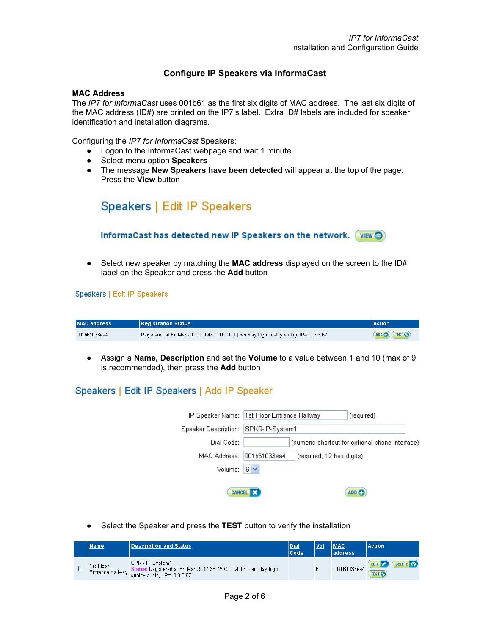## **Configure IP Speakers via InformaCast**

### **MAC Address**

The *IP7 for InformaCast* uses 001b61 as the first six digits of MAC address. The last six digits of the MAC address (ID#) are printed on the IP7's label. Extra ID# labels are included for speaker identification and installation diagrams.

Configuring the *IP7 for InformaCast* Speakers:

- Logon to the InformaCast webpage and wait 1 minute
- Select menu option **Speakers**
- The message **New Speakers have been detected** will appear at the top of the page. Press the **View** button



● Select new speaker by matching the **MAC address** displayed on the screen to the ID# label on the Speaker and press the **Add** button

#### Speakers | Edit IP Speakers

| <b>MAC address</b> | <b>Registration Status</b>                                                                 | <b>Action</b> |
|--------------------|--------------------------------------------------------------------------------------------|---------------|
| 001b61033ea4       | . Registered at Fri Mar 29 10:00:47 CDT 2013 (can play high quality audio), IP=10.3.3.67 [ | ADD CO LEST C |

● Assign a **Name, Description** and set the **Volume** to a value between 1 and 10 (max of 9 is recommended), then press the **Add** button

# Speakers | Edit IP Speakers | Add IP Speaker

| IP Speaker Name:            | (required)<br>1st Floor Entrance Hallway        |  |
|-----------------------------|-------------------------------------------------|--|
| <b>Speaker Description:</b> | SPKR-IP-System1                                 |  |
| Dial Code:                  | (numeric shortcut for optional phone interface) |  |
| MAC Address:                | 001b61033ea4<br>(required, 12 hex digits)       |  |
| Volume:                     | $6 \times$                                      |  |
|                             |                                                 |  |
|                             | <b>CANCEL</b><br>ADD <sub>6</sub>               |  |

● Select the Speaker and press the **TEST** button to verify the installation

| Name                                 | <b>Description and Status</b>                                                                                        | <b>Dial</b><br>Code | <b>Vol</b> | <b>MAC</b><br>address | <b>Action</b>                            |
|--------------------------------------|----------------------------------------------------------------------------------------------------------------------|---------------------|------------|-----------------------|------------------------------------------|
| Ist Floor<br><b>Entrance Hallway</b> | SPKR-IP-System1<br>Status: Registered at Fri Mar 29 14:38:45 CDT 2013 (can play high<br>quality audio), IP=10.3.3.67 |                     |            | 001b61033ea4          | DELETE O<br><b>EDIT</b><br><b>TEST C</b> |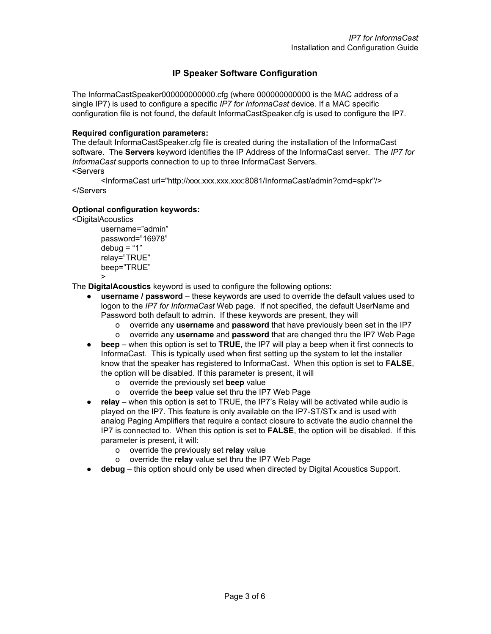## **IP Speaker Software Configuration**

The InformaCastSpeaker000000000000.cfg (where 000000000000 is the MAC address of a single IP7) is used to configure a specific *IP7 for InformaCast* device. If a MAC specific configuration file is not found, the default InformaCastSpeaker.cfg is used to configure the IP7.

### **Required configuration parameters:**

The default InformaCastSpeaker.cfg file is created during the installation of the InformaCast software. The **Servers** keyword identifies the IP Address of the InformaCast server. The *IP7 for InformaCast* supports connection to up to three InformaCast Servers. <Servers

<InformaCast url="http://xxx.xxx.xxx.xxx:8081/InformaCast/admin?cmd=spkr"/> </Servers

### **Optional configuration keywords:**

<DigitalAcoustics

username="admin" password="16978"  $debua = "1"$ relay="TRUE" beep="TRUE" >

The **DigitalAcoustics** keyword is used to configure the following options:

- **username / password** these keywords are used to override the default values used to logon to the *IP7 for InformaCast* Web page. If not specified, the default UserName and Password both default to admin. If these keywords are present, they will
	- o override any **username** and **password** that have previously been set in the IP7
	- o override any **username** and **password** that are changed thru the IP7 Web Page
- **beep** when this option is set to **TRUE**, the IP7 will play a beep when it first connects to InformaCast. This is typically used when first setting up the system to let the installer know that the speaker has registered to InformaCast. When this option is set to **FALSE**, the option will be disabled. If this parameter is present, it will
	- o override the previously set **beep** value
	- o override the **beep** value set thru the IP7 Web Page
- **relay** when this option is set to TRUE, the IP7's Relay will be activated while audio is played on the IP7. This feature is only available on the IP7-ST/STx and is used with analog Paging Amplifiers that require a contact closure to activate the audio channel the IP7 is connected to. When this option is set to **FALSE**, the option will be disabled. If this parameter is present, it will:
	- o override the previously set **relay** value
	- o override the **relay** value set thru the IP7 Web Page
- **debug** this option should only be used when directed by Digital Acoustics Support.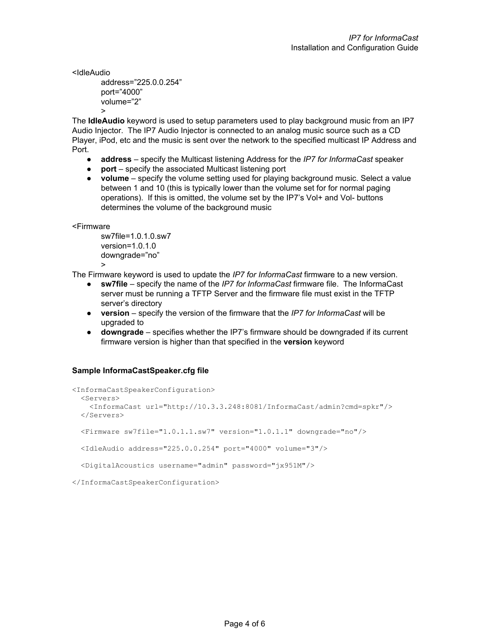<IdleAudio

```
address="225.0.0.254"
port="4000"
volume="2"
>
```
The **IdleAudio** keyword is used to setup parameters used to play background music from an IP7 Audio Injector. The IP7 Audio Injector is connected to an analog music source such as a CD Player, iPod, etc and the music is sent over the network to the specified multicast IP Address and Port.

- **address** specify the Multicast listening Address for the *IP7 for InformaCast* speaker
- **port** specify the associated Multicast listening port
- **volume** specify the volume setting used for playing background music. Select a value between 1 and 10 (this is typically lower than the volume set for for normal paging operations). If this is omitted, the volume set by the IP7's Vol+ and Vol- buttons determines the volume of the background music

<Firmware

sw7file=1.0.1.0.sw7 version=1.0.1.0 downgrade="no" >

The Firmware keyword is used to update the *IP7 for InformaCast* firmware to a new version.

- **sw7file** specify the name of the *IP7 for InformaCast* firmware file. The InformaCast server must be running a TFTP Server and the firmware file must exist in the TFTP server's directory
- **version** specify the version of the firmware that the *IP7 for InformaCast* will be upgraded to
- **downgrade** specifies whether the IP7's firmware should be downgraded if its current firmware version is higher than that specified in the **version** keyword

## **Sample InformaCastSpeaker.cfg file**

```
<InformaCastSpeakerConfiguration>
  <Servers>
    <InformaCast url="http://10.3.3.248:8081/InformaCast/admin?cmd=spkr"/>
   </Servers>
   <Firmware sw7file="1.0.1.1.sw7" version="1.0.1.1" downgrade="no"/>
  <IdleAudio address="225.0.0.254" port="4000" volume="3"/>
  <DigitalAcoustics username="admin" password="jx951M"/>
</InformaCastSpeakerConfiguration>
```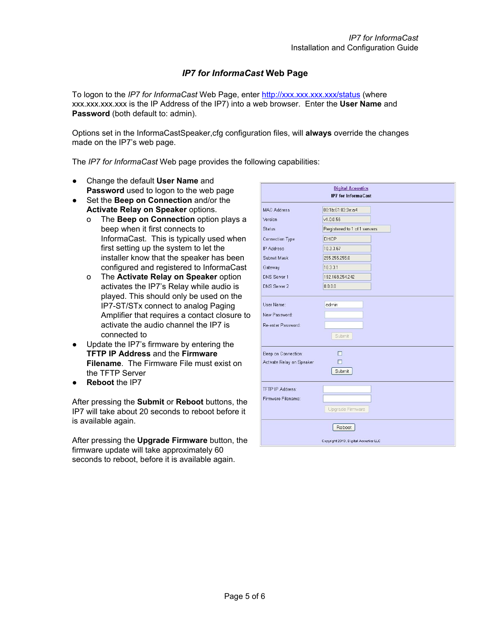# *IP7 for InformaCast* **Web Page**

To logon to the *IP7 for InformaCast* Web Page, enter <http://xxx.xxx.xxx.xxx/status> (where xxx.xxx.xxx.xxx is the IP Address of the IP7) into a web browser. Enter the **User Name** and Password (both default to: admin).

Options set in the InformaCastSpeaker,cfg configuration files, will **always** override the changes made on the IP7's web page.

The *IP7 for InformaCast* Web page provides the following capabilities:

- Change the default **User Name** and **Password** used to logon to the web page
- Set the **Beep on Connection** and/or the **Activate Relay on Speaker** options.
	- o The **Beep on Connection** option plays a beep when it first connects to InformaCast. This is typically used when first setting up the system to let the installer know that the speaker has been configured and registered to InformaCast
	- o The **Activate Relay on Speaker** option activates the IP7's Relay while audio is played. This should only be used on the IP7-ST/STx connect to analog Paging Amplifier that requires a contact closure to activate the audio channel the IP7 is connected to
- Update the IP7's firmware by entering the **TFTP IP Address** and the **Firmware Filename**. The Firmware File must exist on the TFTP Server
- **Reboot** the IP7

After pressing the **Submit** or **Reboot** buttons, the IP7 will take about 20 seconds to reboot before it is available again.

After pressing the **Upgrade Firmware** button, the firmware update will take approximately 60 seconds to reboot, before it is available again.

| <b>Digital Acoustics</b><br><b>IP7</b> for InformaCast |                              |  |  |
|--------------------------------------------------------|------------------------------|--|--|
| <b>MAC Address</b>                                     | 00:1b:61:03:3e:a4            |  |  |
| Version                                                | v1.0.0.56                    |  |  |
| <b>Status</b>                                          | Registered to 1 of 1 servers |  |  |
| <b>Connection Type</b>                                 | <b>DHCP</b>                  |  |  |
| <b>IP Address</b>                                      | 10.3.3.67                    |  |  |
| Subnet Mask                                            | 255.255.255.0                |  |  |
| Gateway                                                | 10.3.3.1                     |  |  |
| <b>DNS Server 1</b>                                    | 192.168.254.242              |  |  |
| DNS Server 2                                           | 0.0.0.0                      |  |  |
| User Name:<br>New Password:<br>Re-enter Password:      | admin<br>Submit              |  |  |
| Beep on Connection:<br>Activate Relay on Speaker       | П<br>п<br>Submit             |  |  |
| TFTP IP Address:<br>Firmware Filename:                 | Upgrade Firmware             |  |  |
|                                                        | Reboot                       |  |  |
| Copyright 2013, Digital Acoustics LLC                  |                              |  |  |